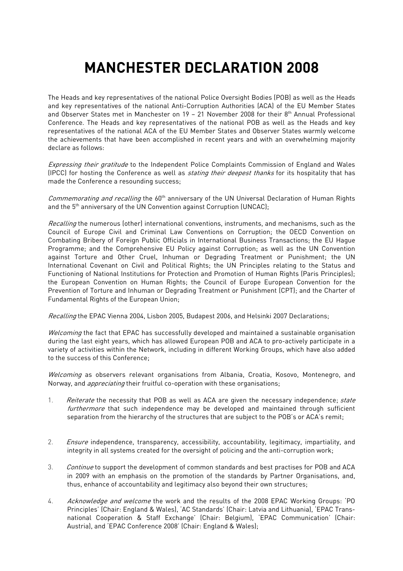## MANCHESTER DECLARATION 2008

The Heads and key representatives of the national Police Oversight Bodies (POB) as well as the Heads and key representatives of the national Anti-Corruption Authorities (ACA) of the EU Member States and Observer States met in Manchester on 19 - 21 November 2008 for their 8<sup>th</sup> Annual Professional Conference. The Heads and key representatives of the national POB as well as the Heads and key representatives of the national ACA of the EU Member States and Observer States warmly welcome the achievements that have been accomplished in recent years and with an overwhelming majority declare as follows:

Expressing their gratitude to the Independent Police Complaints Commission of England and Wales (IPCC) for hosting the Conference as well as *stating their deepest thanks* for its hospitality that has made the Conference a resounding success;

Commemorating and recalling the 60<sup>th</sup> anniversary of the UN Universal Declaration of Human Rights and the 5<sup>th</sup> anniversary of the UN Convention against Corruption (UNCAC);

Recalling the numerous (other) international conventions, instruments, and mechanisms, such as the Council of Europe Civil and Criminal Law Conventions on Corruption; the OECD Convention on Combating Bribery of Foreign Public Officials in International Business Transactions; the EU Hague Programme; and the Comprehensive EU Policy against Corruption; as well as the UN Convention against Torture and Other Cruel, Inhuman or Degrading Treatment or Punishment; the UN International Covenant on Civil and Political Rights; the UN Principles relating to the Status and Functioning of National Institutions for Protection and Promotion of Human Rights (Paris Principles); the European Convention on Human Rights; the Council of Europe European Convention for the Prevention of Torture and Inhuman or Degrading Treatment or Punishment (CPT); and the Charter of Fundamental Rights of the European Union;

Recalling the EPAC Vienna 2004, Lisbon 2005, Budapest 2006, and Helsinki 2007 Declarations;

Welcoming the fact that EPAC has successfully developed and maintained a sustainable organisation during the last eight years, which has allowed European POB and ACA to pro-actively participate in a variety of activities within the Network, including in different Working Groups, which have also added to the success of this Conference;

Welcoming as observers relevant organisations from Albania, Croatia, Kosovo, Montenegro, and Norway, and *appreciating* their fruitful co-operation with these organisations;

- 1. Reiterate the necessity that POB as well as ACA are given the necessary independence; state furthermore that such independence may be developed and maintained through sufficient separation from the hierarchy of the structures that are subject to the POB's or ACA's remit;
- 2. Ensure independence, transparency, accessibility, accountability, legitimacy, impartiality, and integrity in all systems created for the oversight of policing and the anti-corruption work;
- 3. Continue to support the development of common standards and best practises for POB and ACA in 2009 with an emphasis on the promotion of the standards by Partner Organisations, and, thus, enhance of accountability and legitimacy also beyond their own structures;
- 4. Acknowledge and welcome the work and the results of the 2008 EPAC Working Groups: 'PO Principles' (Chair: England & Wales), 'AC Standards' (Chair: Latvia and Lithuania), 'EPAC Transnational Cooperation & Staff Exchange' (Chair: Belgium), 'EPAC Communication' (Chair: Austria), and 'EPAC Conference 2008' (Chair: England & Wales);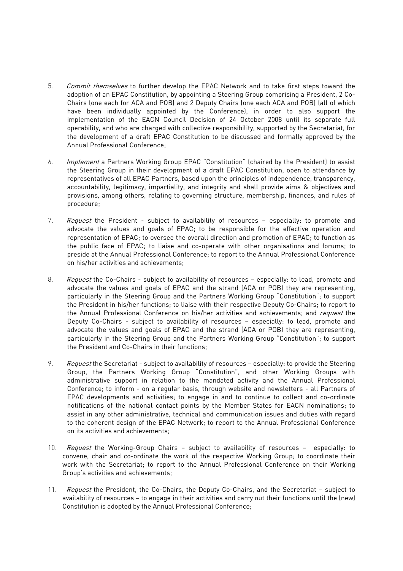- 5. Commit themselves to further develop the EPAC Network and to take first steps toward the adoption of an EPAC Constitution, by appointing a Steering Group comprising a President, 2 Co-Chairs (one each for ACA and POB) and 2 Deputy Chairs (one each ACA and POB) (all of which have been individually appointed by the Conference), in order to also support the implementation of the EACN Council Decision of 24 October 2008 until its separate full operability, and who are charged with collective responsibility, supported by the Secretariat, for the development of a draft EPAC Constitution to be discussed and formally approved by the Annual Professional Conference;
- 6. Implement a Partners Working Group EPAC "Constitution" (chaired by the President) to assist the Steering Group in their development of a draft EPAC Constitution, open to attendance by representatives of all EPAC Partners, based upon the principles of independence, transparency, accountability, legitimacy, impartiality, and integrity and shall provide aims & objectives and provisions, among others, relating to governing structure, membership, finances, and rules of procedure;
- 7. Request the President subject to availability of resources especially: to promote and advocate the values and goals of EPAC; to be responsible for the effective operation and representation of EPAC; to oversee the overall direction and promotion of EPAC; to function as the public face of EPAC; to liaise and co-operate with other organisations and forums; to preside at the Annual Professional Conference; to report to the Annual Professional Conference on his/her activities and achievements;
- 8. Request the Co-Chairs subject to availability of resources especially: to lead, promote and advocate the values and goals of EPAC and the strand (ACA or POB) they are representing, particularly in the Steering Group and the Partners Working Group "Constitution"; to support the President in his/her functions; to liaise with their respective Deputy Co-Chairs; to report to the Annual Professional Conference on his/her activities and achievements; and request the Deputy Co-Chairs - subject to availability of resources – especially: to lead, promote and advocate the values and goals of EPAC and the strand (ACA or POB) they are representing, particularly in the Steering Group and the Partners Working Group "Constitution"; to support the President and Co-Chairs in their functions;
- 9. Request the Secretariat subject to availability of resources especially: to provide the Steering Group, the Partners Working Group "Constitution", and other Working Groups with administrative support in relation to the mandated activity and the Annual Professional Conference; to inform - on a regular basis, through website and newsletters - all Partners of EPAC developments and activities; to engage in and to continue to collect and co-ordinate notifications of the national contact points by the Member States for EACN nominations; to assist in any other administrative, technical and communication issues and duties with regard to the coherent design of the EPAC Network; to report to the Annual Professional Conference on its activities and achievements;
- 10. Request the Working-Group Chairs subject to availability of resources especially: to convene, chair and co-ordinate the work of the respective Working Group; to coordinate their work with the Secretariat; to report to the Annual Professional Conference on their Working Group's activities and achievements;
- 11. Request the President, the Co-Chairs, the Deputy Co-Chairs, and the Secretariat subject to availability of resources – to engage in their activities and carry out their functions until the (new) Constitution is adopted by the Annual Professional Conference;